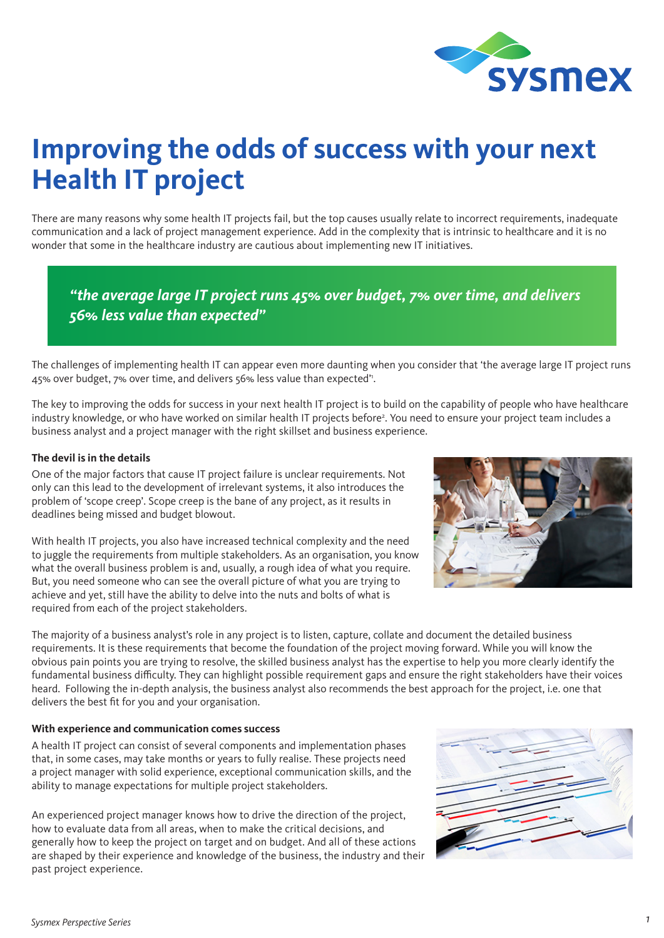

# **Improving the odds of success with your next Health IT project**

There are many reasons why some health IT projects fail, but the top causes usually relate to incorrect requirements, inadequate communication and a lack of project management experience. Add in the complexity that is intrinsic to healthcare and it is no wonder that some in the healthcare industry are cautious about implementing new IT initiatives.

*"the average large IT project runs 45% over budget, 7% over time, and delivers 56% less value than expected"*

The challenges of implementing health IT can appear even more daunting when you consider that 'the average large IT project runs 45% over budget, 7% over time, and delivers 56% less value than expected'1 .

The key to improving the odds for success in your next health IT project is to build on the capability of people who have healthcare industry knowledge, or who have worked on similar health IT projects before<sup>2</sup>. You need to ensure your project team includes a business analyst and a project manager with the right skillset and business experience.

## **The devil is in the details**

One of the major factors that cause IT project failure is unclear requirements. Not only can this lead to the development of irrelevant systems, it also introduces the problem of 'scope creep'. Scope creep is the bane of any project, as it results in deadlines being missed and budget blowout.

With health IT projects, you also have increased technical complexity and the need to juggle the requirements from multiple stakeholders. As an organisation, you know what the overall business problem is and, usually, a rough idea of what you require. But, you need someone who can see the overall picture of what you are trying to achieve and yet, still have the ability to delve into the nuts and bolts of what is required from each of the project stakeholders.



The majority of a business analyst's role in any project is to listen, capture, collate and document the detailed business requirements. It is these requirements that become the foundation of the project moving forward. While you will know the obvious pain points you are trying to resolve, the skilled business analyst has the expertise to help you more clearly identify the fundamental business difficulty. They can highlight possible requirement gaps and ensure the right stakeholders have their voices heard. Following the in-depth analysis, the business analyst also recommends the best approach for the project, i.e. one that delivers the best fit for you and your organisation.

#### **With experience and communication comes success**

A health IT project can consist of several components and implementation phases that, in some cases, may take months or years to fully realise. These projects need a project manager with solid experience, exceptional communication skills, and the ability to manage expectations for multiple project stakeholders.

An experienced project manager knows how to drive the direction of the project, how to evaluate data from all areas, when to make the critical decisions, and generally how to keep the project on target and on budget. And all of these actions are shaped by their experience and knowledge of the business, the industry and their past project experience.